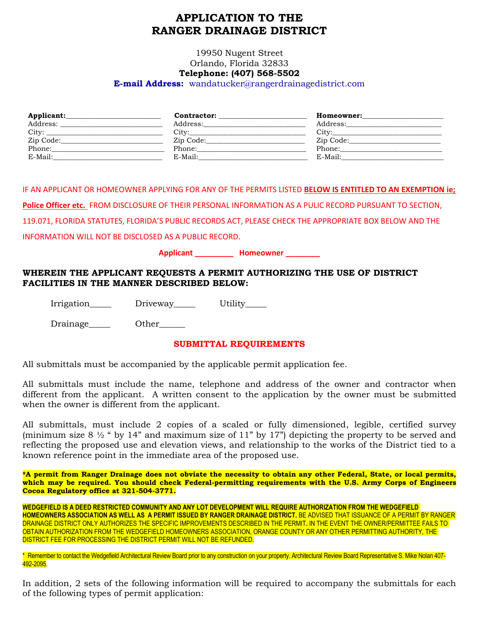# **APPLICATION TO THE RANGER DRAINAGE DISTRICT**

19950 Nugent Street Orlando, Florida 32833

# **Telephone: (407) 568-5502**

**E-mail Address:** wandatucker@rangerdrainagedistrict.com

| Applicant:     | Contractor: | Homeowner: |
|----------------|-------------|------------|
| Address:       | Address:    | Address:   |
| $\text{City:}$ | City:       |            |
| Zip Code:      | Zip Code:   | Zip Code:  |
| Phone:         | Phone:      | Phone:     |
| E-Mail:        | E-Mail:     | E-Mail:    |

IF AN APPLICANT OR HOMEOWNER APPLYING FOR ANY OF THE PERMITS LISTED **BELOW IS ENTITLED TO AN EXEMPTION ie; Police Officer etc.** FROM DISCLOSURE OF THEIR PERSONAL INFORMATION AS A PULIC RECORD PURSUANT TO SECTION,

119.071, FLORIDA STATUTES, FLORIDA'S PUBLIC RECORDS ACT, PLEASE CHECK THE APPROPRIATE BOX BELOW AND THE

INFORMATION WILL NOT BE DISCLOSED AS A PUBLIC RECORD.

**Applicant \_\_\_\_\_\_\_\_\_ Homeowner \_\_\_\_\_\_\_\_**

#### **WHEREIN THE APPLICANT REQUESTS A PERMIT AUTHORIZING THE USE OF DISTRICT FACILITIES IN THE MANNER DESCRIBED BELOW:**

Irrigation Driveway Utility

Drainage\_\_\_\_\_ Other\_\_\_\_\_\_

#### **SUBMITTAL REQUIREMENTS**

All submittals must be accompanied by the applicable permit application fee.

All submittals must include the name, telephone and address of the owner and contractor when different from the applicant. A written consent to the application by the owner must be submitted when the owner is different from the applicant.

All submittals, must include 2 copies of a scaled or fully dimensioned, legible, certified survey (minimum size  $8\frac{1}{2}$  " by 14" and maximum size of 11" by 17") depicting the property to be served and reflecting the proposed use and elevation views, and relationship to the works of the District tied to a known reference point in the immediate area of the proposed use.

**\*A permit from Ranger Drainage does not obviate the necessity to obtain any other Federal, State, or local permits, which may be required. You should check Federal-permitting requirements with the U.S. Army Corps of Engineers Cocoa Regulatory office at 321-504-3771.**

**WEDGEFIELD IS A DEED RESTRICTED COMMUNITY AND ANY LOT DEVELOPMENT WILL REQUIRE AUTHORIZATION FROM THE WEDGEFIELD HOMEOWNERS ASSOCIATION AS WELL AS A PERMIT ISSUED BY RANGER DRAINAGE DISTRICT.** BE ADVISED THAT ISSUANCE OF A PERMIT BY RANGER DRAINAGE DISTRICT ONLY AUTHORIZES THE SPECIFIC IMPROVEMENTS DESCRIBED IN THE PERMIT**.** IN THE EVENT THE OWNER/PERMITTEE FAILS TO OBTAIN AUTHORIZATION FROM THE WEDGEFIELD HOMEOWNERS ASSOCIATION, ORANGE COUNTY OR ANY OTHER PERMITTING AUTHORITY, THE DISTRICT FEE FOR PROCESSING THE DISTRICT PERMIT WILL NOT BE REFUNDED.

\* Remember to contact the Wedgefield Architectural Review Board prior to any construction on your property. Architectural Review Board Representative S. Mike Nolan 407- 492-2095.

In addition, 2 sets of the following information will be required to accompany the submittals for each of the following types of permit application: